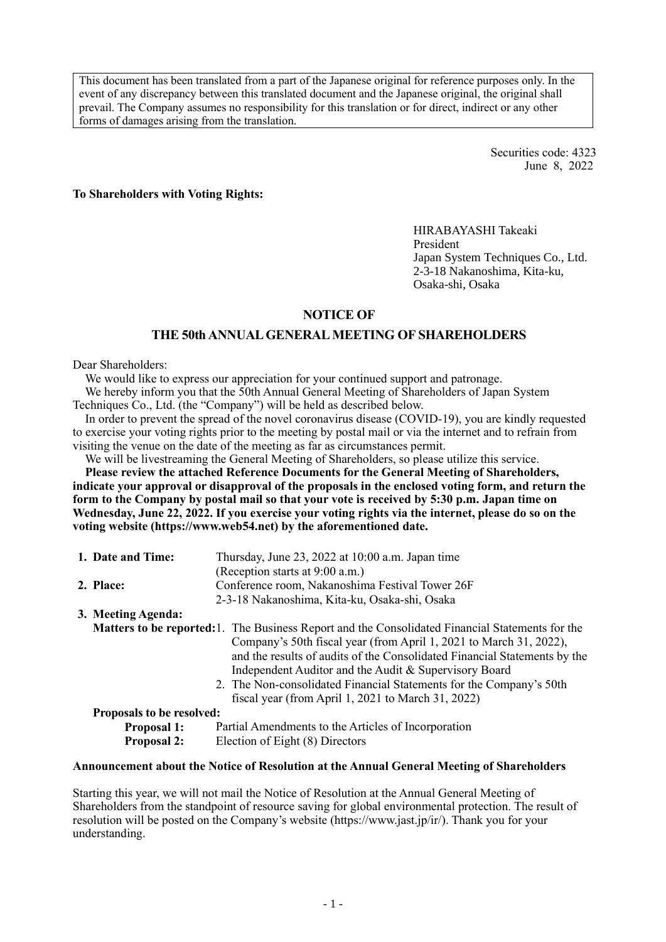This document has been translated from a part of the Japanese original for reference purposes only. In the event of any discrepancy between this translated document and the Japanese original, the original shall prevail. The Company assumes no responsibility for this translation or for direct, indirect or any other forms of damages arising from the translation.

> Securities code: 4323 June 8, 2022

**To Shareholders with Voting Rights:**

HIRABAYASHI Takeaki President Japan System Techniques Co., Ltd. 2-3-18 Nakanoshima, Kita-ku, Osaka-shi, Osaka

### **NOTICE OF**

### **THE 50th ANNUAL GENERAL MEETING OF SHAREHOLDERS**

### Dear Shareholders:

We would like to express our appreciation for your continued support and patronage.

We hereby inform you that the 50th Annual General Meeting of Shareholders of Japan System Techniques Co., Ltd. (the "Company") will be held as described below.

In order to prevent the spread of the novel coronavirus disease (COVID-19), you are kindly requested to exercise your voting rights prior to the meeting by postal mail or via the internet and to refrain from visiting the venue on the date of the meeting as far as circumstances permit.

We will be livestreaming the General Meeting of Shareholders, so please utilize this service.

**Please review the attached Reference Documents for the General Meeting of Shareholders, indicate your approval or disapproval of the proposals in the enclosed voting form, and return the**  form to the Company by postal mail so that your vote is received by 5:30 p.m. Japan time on **Wednesday, June 22, 2022. If you exercise your voting rights via the internet, please do so on the voting website (https://www.web54.net) by the aforementioned date.**

|                                                                                                         | 1. Date and Time:                                                         | Thursday, June 23, 2022 at 10:00 a.m. Japan time                          |  |  |  |  |
|---------------------------------------------------------------------------------------------------------|---------------------------------------------------------------------------|---------------------------------------------------------------------------|--|--|--|--|
|                                                                                                         |                                                                           | (Reception starts at 9:00 a.m.)                                           |  |  |  |  |
|                                                                                                         | 2. Place:                                                                 | Conference room, Nakanoshima Festival Tower 26F                           |  |  |  |  |
|                                                                                                         |                                                                           | 2-3-18 Nakanoshima, Kita-ku, Osaka-shi, Osaka                             |  |  |  |  |
|                                                                                                         | 3. Meeting Agenda:                                                        |                                                                           |  |  |  |  |
| <b>Matters to be reported:</b> 1. The Business Report and the Consolidated Financial Statements for the |                                                                           |                                                                           |  |  |  |  |
| Company's 50th fiscal year (from April 1, 2021 to March 31, 2022),                                      |                                                                           |                                                                           |  |  |  |  |
|                                                                                                         |                                                                           | and the results of audits of the Consolidated Financial Statements by the |  |  |  |  |
|                                                                                                         |                                                                           | Independent Auditor and the Audit & Supervisory Board                     |  |  |  |  |
|                                                                                                         |                                                                           | 2. The Non-consolidated Financial Statements for the Company's 50th       |  |  |  |  |
|                                                                                                         |                                                                           | fiscal year (from April 1, 2021 to March 31, 2022)                        |  |  |  |  |
|                                                                                                         | <b>Proposals to be resolved:</b>                                          |                                                                           |  |  |  |  |
|                                                                                                         | <b>Proposal 1:</b><br>Partial Amendments to the Articles of Incorporation |                                                                           |  |  |  |  |
|                                                                                                         | Election of Eight (8) Directors<br><b>Proposal 2:</b>                     |                                                                           |  |  |  |  |

### **Announcement about the Notice of Resolution at the Annual General Meeting of Shareholders**

Starting this year, we will not mail the Notice of Resolution at the Annual General Meeting of Shareholders from the standpoint of resource saving for global environmental protection. The result of resolution will be posted on the Company's website (https://www.jast.jp/ir/). Thank you for your understanding.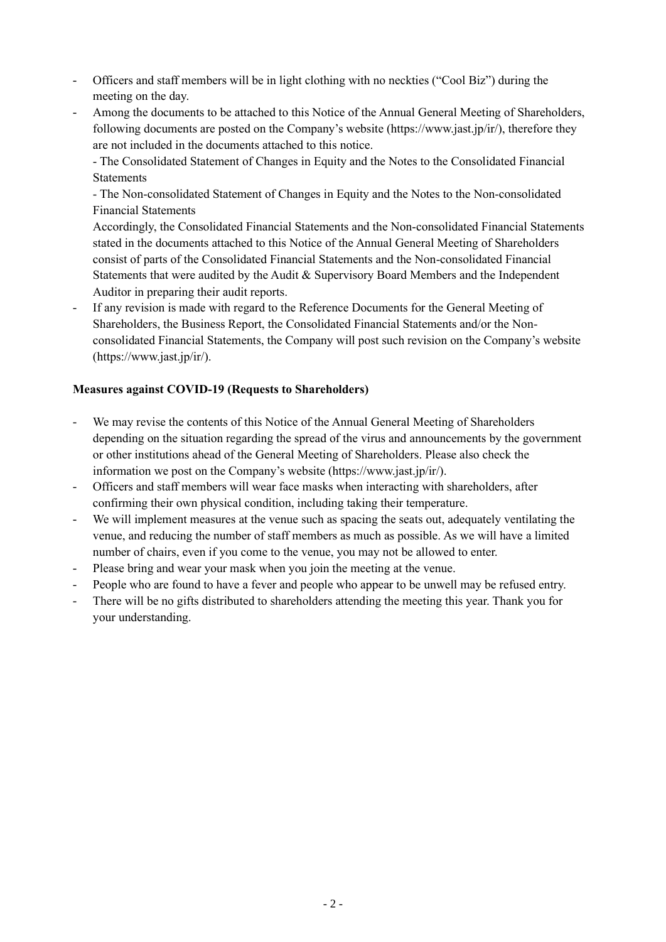- Officers and staff members will be in light clothing with no neckties ("Cool Biz") during the meeting on the day.
- Among the documents to be attached to this Notice of the Annual General Meeting of Shareholders, following documents are posted on the Company's website (https://www.jast.jp/ir/), therefore they are not included in the documents attached to this notice.

- The Consolidated Statement of Changes in Equity and the Notes to the Consolidated Financial **Statements** 

- The Non-consolidated Statement of Changes in Equity and the Notes to the Non-consolidated Financial Statements

Accordingly, the Consolidated Financial Statements and the Non-consolidated Financial Statements stated in the documents attached to this Notice of the Annual General Meeting of Shareholders consist of parts of the Consolidated Financial Statements and the Non-consolidated Financial Statements that were audited by the Audit & Supervisory Board Members and the Independent Auditor in preparing their audit reports.

If any revision is made with regard to the Reference Documents for the General Meeting of Shareholders, the Business Report, the Consolidated Financial Statements and/or the Nonconsolidated Financial Statements, the Company will post such revision on the Company's website (https://www.jast.jp/ir/).

## **Measures against COVID-19 (Requests to Shareholders)**

- We may revise the contents of this Notice of the Annual General Meeting of Shareholders depending on the situation regarding the spread of the virus and announcements by the government or other institutions ahead of the General Meeting of Shareholders. Please also check the information we post on the Company's website (https://www.jast.jp/ir/).
- Officers and staff members will wear face masks when interacting with shareholders, after confirming their own physical condition, including taking their temperature.
- We will implement measures at the venue such as spacing the seats out, adequately ventilating the venue, and reducing the number of staff members as much as possible. As we will have a limited number of chairs, even if you come to the venue, you may not be allowed to enter.
- Please bring and wear your mask when you join the meeting at the venue.
- People who are found to have a fever and people who appear to be unwell may be refused entry.
- There will be no gifts distributed to shareholders attending the meeting this year. Thank you for your understanding.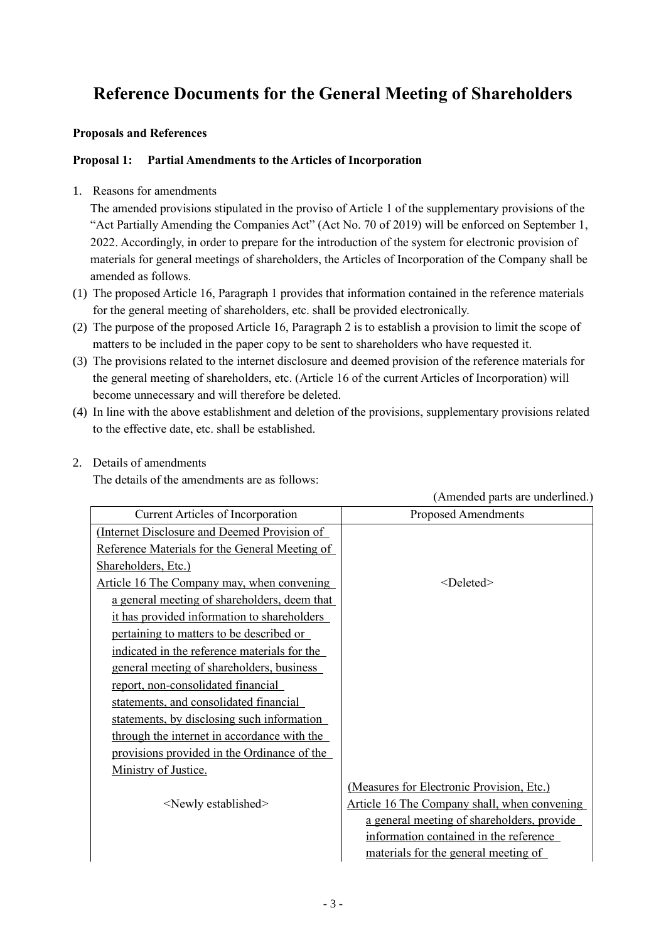# **Reference Documents for the General Meeting of Shareholders**

### **Proposals and References**

### **Proposal 1: Partial Amendments to the Articles of Incorporation**

1. Reasons for amendments

The amended provisions stipulated in the proviso of Article 1 of the supplementary provisions of the "Act Partially Amending the Companies Act" (Act No. 70 of 2019) will be enforced on September 1, 2022. Accordingly, in order to prepare for the introduction of the system for electronic provision of materials for general meetings of shareholders, the Articles of Incorporation of the Company shall be amended as follows.

- (1) The proposed Article 16, Paragraph 1 provides that information contained in the reference materials for the general meeting of shareholders, etc. shall be provided electronically.
- (2) The purpose of the proposed Article 16, Paragraph 2 is to establish a provision to limit the scope of matters to be included in the paper copy to be sent to shareholders who have requested it.
- (3) The provisions related to the internet disclosure and deemed provision of the reference materials for the general meeting of shareholders, etc. (Article 16 of the current Articles of Incorporation) will become unnecessary and will therefore be deleted.
- (4) In line with the above establishment and deletion of the provisions, supplementary provisions related to the effective date, etc. shall be established.
- 2. Details of amendments

The details of the amendments are as follows:

| <b>Current Articles of Incorporation</b>       | <b>Proposed Amendments</b>                   |
|------------------------------------------------|----------------------------------------------|
| (Internet Disclosure and Deemed Provision of   |                                              |
| Reference Materials for the General Meeting of |                                              |
| Shareholders, Etc.)                            |                                              |
| Article 16 The Company may, when convening     | <deleted></deleted>                          |
| a general meeting of shareholders, deem that   |                                              |
| it has provided information to shareholders    |                                              |
| pertaining to matters to be described or       |                                              |
| indicated in the reference materials for the   |                                              |
| general meeting of shareholders, business      |                                              |
| report, non-consolidated financial             |                                              |
| statements, and consolidated financial         |                                              |
| statements, by disclosing such information     |                                              |
| through the internet in accordance with the    |                                              |
| provisions provided in the Ordinance of the    |                                              |
| Ministry of Justice.                           |                                              |
|                                                | (Measures for Electronic Provision, Etc.)    |
| <newly established=""></newly>                 | Article 16 The Company shall, when convening |
|                                                | a general meeting of shareholders, provide   |
|                                                | information contained in the reference       |
|                                                | materials for the general meeting of         |

(Amended parts are underlined.)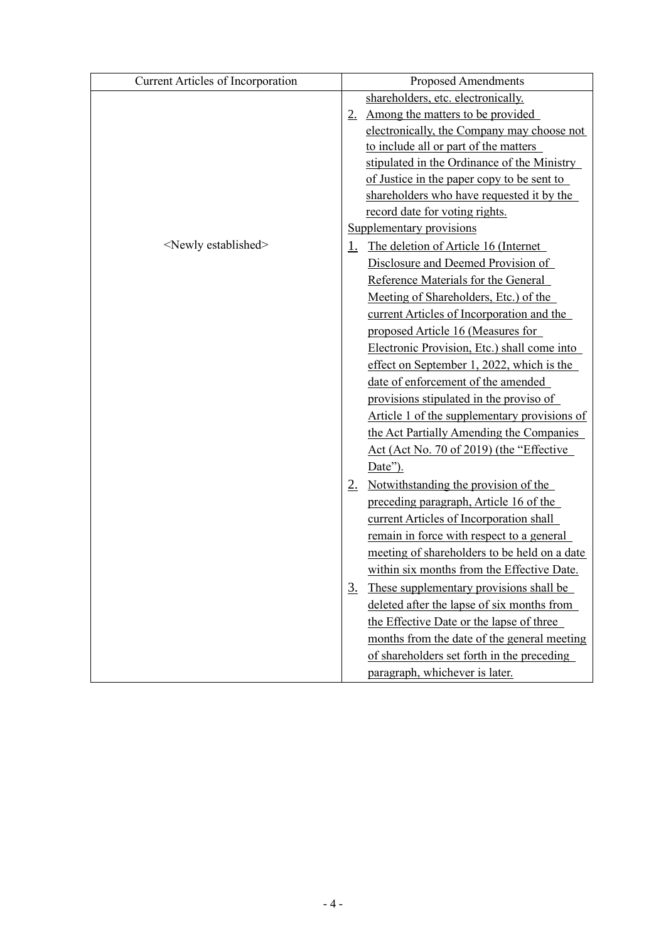| <b>Current Articles of Incorporation</b> | <b>Proposed Amendments</b>                           |
|------------------------------------------|------------------------------------------------------|
|                                          | shareholders, etc. electronically.                   |
|                                          | Among the matters to be provided<br>2.               |
|                                          | electronically, the Company may choose not           |
|                                          | to include all or part of the matters                |
|                                          | stipulated in the Ordinance of the Ministry          |
|                                          | of Justice in the paper copy to be sent to           |
|                                          | shareholders who have requested it by the            |
|                                          | record date for voting rights.                       |
|                                          | Supplementary provisions                             |
| <newly established=""></newly>           | The deletion of Article 16 (Internet<br>1.           |
|                                          | Disclosure and Deemed Provision of                   |
|                                          | Reference Materials for the General                  |
|                                          | Meeting of Shareholders, Etc.) of the                |
|                                          | current Articles of Incorporation and the            |
|                                          | proposed Article 16 (Measures for                    |
|                                          | Electronic Provision, Etc.) shall come into          |
|                                          | effect on September 1, 2022, which is the            |
|                                          | date of enforcement of the amended                   |
|                                          | provisions stipulated in the proviso of              |
|                                          | Article 1 of the supplementary provisions of         |
|                                          | the Act Partially Amending the Companies             |
|                                          | Act (Act No. 70 of 2019) (the "Effective"            |
|                                          | Date").                                              |
|                                          | Notwithstanding the provision of the<br>2.           |
|                                          | preceding paragraph, Article 16 of the               |
|                                          | current Articles of Incorporation shall              |
|                                          | remain in force with respect to a general            |
|                                          | meeting of shareholders to be held on a date         |
|                                          | within six months from the Effective Date.           |
|                                          | These supplementary provisions shall be<br><u>3.</u> |
|                                          | deleted after the lapse of six months from           |
|                                          | the Effective Date or the lapse of three             |
|                                          | months from the date of the general meeting          |
|                                          | of shareholders set forth in the preceding           |
|                                          | paragraph, whichever is later.                       |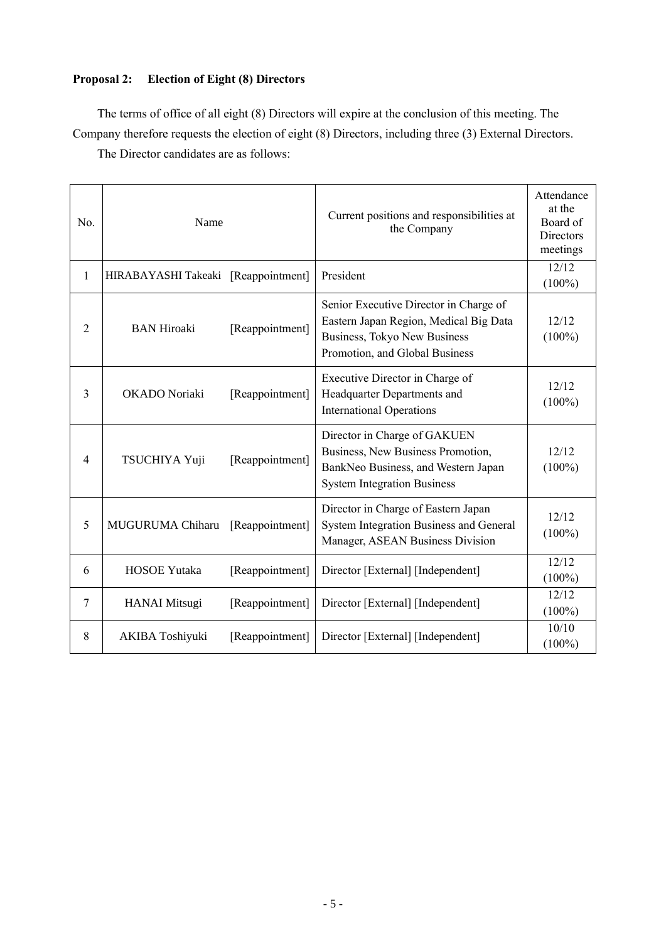## **Proposal 2: Election of Eight (8) Directors**

The terms of office of all eight (8) Directors will expire at the conclusion of this meeting. The Company therefore requests the election of eight (8) Directors, including three (3) External Directors.

The Director candidates are as follows:

| No.            | Name                                |                 | Current positions and responsibilities at<br>the Company                                                                                           | Attendance<br>at the<br>Board of<br>Directors<br>meetings |
|----------------|-------------------------------------|-----------------|----------------------------------------------------------------------------------------------------------------------------------------------------|-----------------------------------------------------------|
| $\mathbf{1}$   | HIRABAYASHI Takeaki [Reappointment] |                 | President                                                                                                                                          | 12/12<br>$(100\%)$                                        |
| $\overline{2}$ | <b>BAN Hiroaki</b>                  | [Reappointment] | Senior Executive Director in Charge of<br>Eastern Japan Region, Medical Big Data<br>Business, Tokyo New Business<br>Promotion, and Global Business | 12/12<br>$(100\%)$                                        |
| 3              | OKADO Noriaki                       | [Reappointment] | Executive Director in Charge of<br>Headquarter Departments and<br><b>International Operations</b>                                                  | 12/12<br>$(100\%)$                                        |
| $\overline{4}$ | TSUCHIYA Yuji                       | [Reappointment] | Director in Charge of GAKUEN<br>Business, New Business Promotion,<br>BankNeo Business, and Western Japan<br><b>System Integration Business</b>     | 12/12<br>$(100\%)$                                        |
| 5              | MUGURUMA Chiharu                    | [Reappointment] | Director in Charge of Eastern Japan<br>System Integration Business and General<br>Manager, ASEAN Business Division                                 | 12/12<br>$(100\%)$                                        |
| 6              | <b>HOSOE Yutaka</b>                 | [Reappointment] | Director [External] [Independent]                                                                                                                  | 12/12<br>$(100\%)$                                        |
| $\tau$         | <b>HANAI</b> Mitsugi                | [Reappointment] | Director [External] [Independent]                                                                                                                  | 12/12<br>$(100\%)$                                        |
| 8              | <b>AKIBA Toshiyuki</b>              | [Reappointment] | Director [External] [Independent]                                                                                                                  | 10/10<br>$(100\%)$                                        |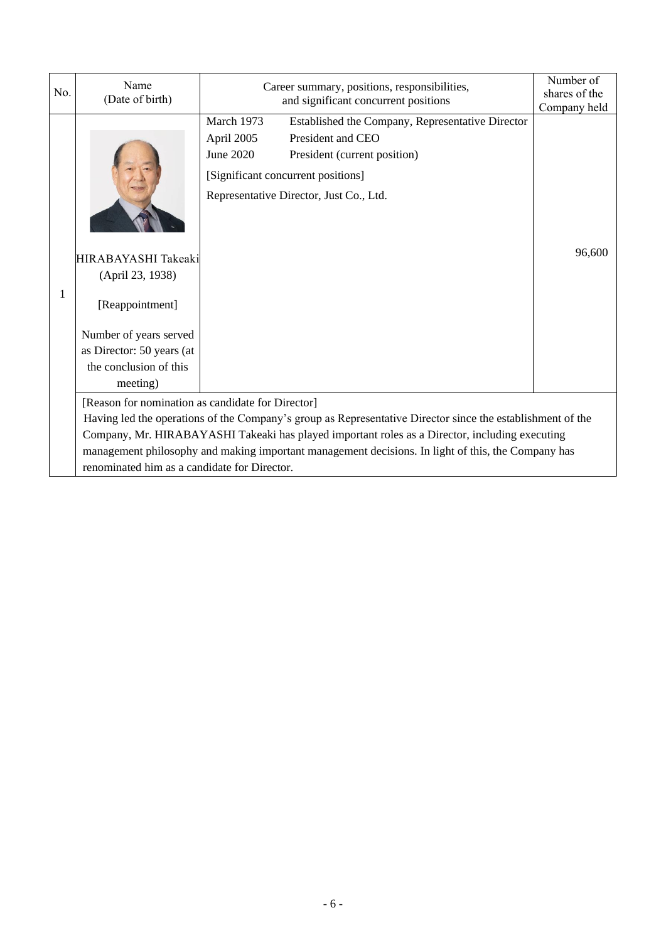| No. | Name<br>(Date of birth)                                                                                                                                                                                                                              | Career summary, positions, responsibilities,<br>and significant concurrent positions                                                                                                                                            | Number of<br>shares of the<br>Company held |  |  |
|-----|------------------------------------------------------------------------------------------------------------------------------------------------------------------------------------------------------------------------------------------------------|---------------------------------------------------------------------------------------------------------------------------------------------------------------------------------------------------------------------------------|--------------------------------------------|--|--|
| 1   | HIRABAYASHI Takeaki<br>(April 23, 1938)<br>[Reappointment]<br>Number of years served<br>as Director: 50 years (at<br>the conclusion of this<br>meeting)                                                                                              | March 1973<br>Established the Company, Representative Director<br>President and CEO<br>April 2005<br>June 2020<br>President (current position)<br>[Significant concurrent positions]<br>Representative Director, Just Co., Ltd. | 96,600                                     |  |  |
|     | [Reason for nomination as candidate for Director]<br>Having led the operations of the Company's group as Representative Director since the establishment of the                                                                                      |                                                                                                                                                                                                                                 |                                            |  |  |
|     | Company, Mr. HIRABAYASHI Takeaki has played important roles as a Director, including executing<br>management philosophy and making important management decisions. In light of this, the Company has<br>renominated him as a candidate for Director. |                                                                                                                                                                                                                                 |                                            |  |  |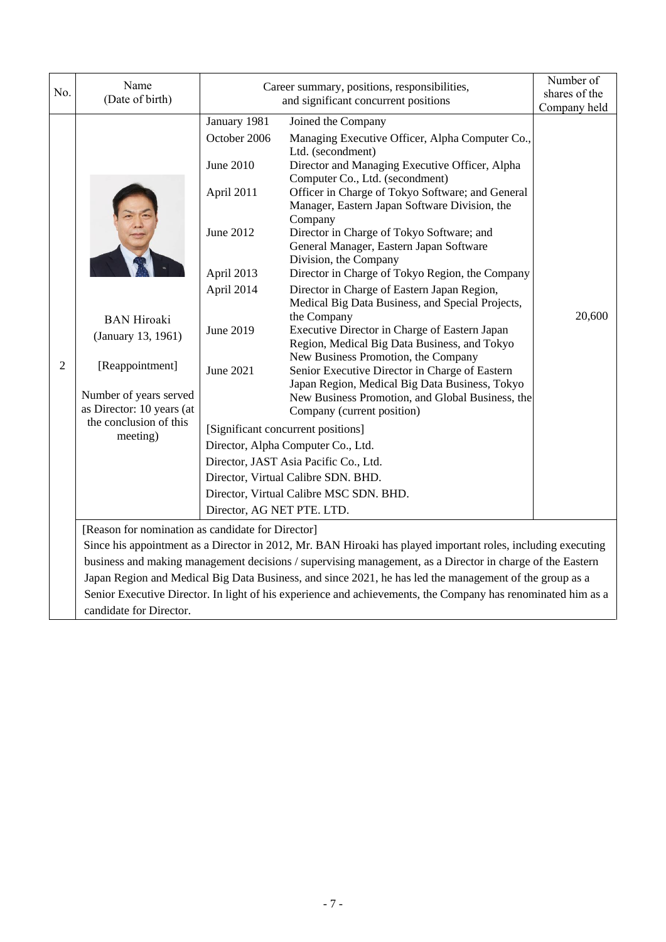| No.                                               | Name<br>(Date of birth)                             |                                                                                                                                                                                                                           | Career summary, positions, responsibilities,<br>and significant concurrent positions                                                            | Number of<br>shares of the |  |
|---------------------------------------------------|-----------------------------------------------------|---------------------------------------------------------------------------------------------------------------------------------------------------------------------------------------------------------------------------|-------------------------------------------------------------------------------------------------------------------------------------------------|----------------------------|--|
|                                                   |                                                     | January 1981                                                                                                                                                                                                              | Joined the Company                                                                                                                              | Company held               |  |
|                                                   |                                                     | October 2006<br><b>June 2010</b>                                                                                                                                                                                          | Managing Executive Officer, Alpha Computer Co.,<br>Ltd. (secondment)<br>Director and Managing Executive Officer, Alpha                          |                            |  |
|                                                   |                                                     | April 2011                                                                                                                                                                                                                | Computer Co., Ltd. (secondment)<br>Officer in Charge of Tokyo Software; and General<br>Manager, Eastern Japan Software Division, the<br>Company |                            |  |
|                                                   |                                                     | June 2012                                                                                                                                                                                                                 | Director in Charge of Tokyo Software; and<br>General Manager, Eastern Japan Software<br>Division, the Company                                   |                            |  |
|                                                   |                                                     | April 2013                                                                                                                                                                                                                | Director in Charge of Tokyo Region, the Company                                                                                                 |                            |  |
|                                                   | <b>BAN</b> Hiroaki                                  | April 2014                                                                                                                                                                                                                | Director in Charge of Eastern Japan Region,<br>Medical Big Data Business, and Special Projects,<br>the Company                                  | 20,600                     |  |
|                                                   | June 2019<br>(January 13, 1961)                     |                                                                                                                                                                                                                           | Executive Director in Charge of Eastern Japan<br>Region, Medical Big Data Business, and Tokyo<br>New Business Promotion, the Company            |                            |  |
| $\overline{2}$                                    | [Reappointment]                                     | <b>June 2021</b>                                                                                                                                                                                                          | Senior Executive Director in Charge of Eastern<br>Japan Region, Medical Big Data Business, Tokyo                                                |                            |  |
|                                                   | Number of years served<br>as Director: 10 years (at |                                                                                                                                                                                                                           | New Business Promotion, and Global Business, the                                                                                                |                            |  |
|                                                   | the conclusion of this                              |                                                                                                                                                                                                                           | Company (current position)                                                                                                                      |                            |  |
|                                                   | meeting)                                            |                                                                                                                                                                                                                           | [Significant concurrent positions]                                                                                                              |                            |  |
|                                                   |                                                     |                                                                                                                                                                                                                           | Director, Alpha Computer Co., Ltd.                                                                                                              |                            |  |
|                                                   |                                                     |                                                                                                                                                                                                                           | Director, JAST Asia Pacific Co., Ltd.                                                                                                           |                            |  |
|                                                   |                                                     |                                                                                                                                                                                                                           | Director, Virtual Calibre SDN. BHD.<br>Director, Virtual Calibre MSC SDN. BHD.                                                                  |                            |  |
|                                                   |                                                     |                                                                                                                                                                                                                           |                                                                                                                                                 |                            |  |
|                                                   | Director, AG NET PTE. LTD.                          |                                                                                                                                                                                                                           |                                                                                                                                                 |                            |  |
| [Reason for nomination as candidate for Director] |                                                     |                                                                                                                                                                                                                           |                                                                                                                                                 |                            |  |
|                                                   |                                                     | Since his appointment as a Director in 2012, Mr. BAN Hiroaki has played important roles, including executing<br>business and making management decisions / supervising management, as a Director in charge of the Eastern |                                                                                                                                                 |                            |  |
|                                                   |                                                     |                                                                                                                                                                                                                           | Japan Region and Medical Big Data Business, and since 2021, he has led the management of the group as a                                         |                            |  |
|                                                   |                                                     |                                                                                                                                                                                                                           | Senior Executive Director. In light of his experience and achievements, the Company has renominated him as a                                    |                            |  |

candidate for Director.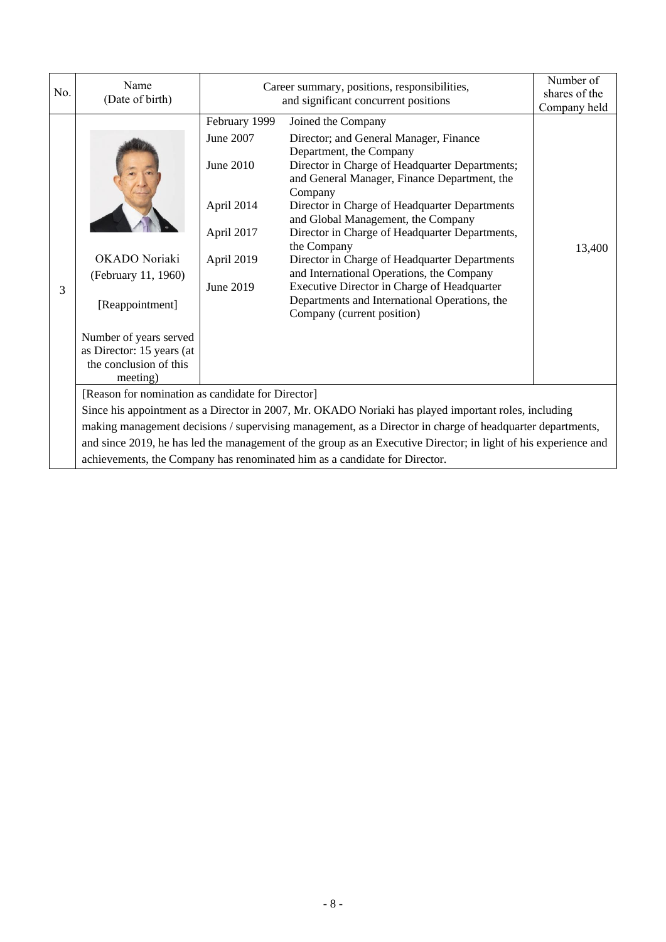| No. | Name<br>(Date of birth)                                                                                   |               | Career summary, positions, responsibilities,<br>and significant concurrent positions                                       |        |  |
|-----|-----------------------------------------------------------------------------------------------------------|---------------|----------------------------------------------------------------------------------------------------------------------------|--------|--|
|     |                                                                                                           | February 1999 | Joined the Company                                                                                                         |        |  |
|     |                                                                                                           | June 2007     | Director; and General Manager, Finance<br>Department, the Company                                                          |        |  |
|     |                                                                                                           | June 2010     | Director in Charge of Headquarter Departments;<br>and General Manager, Finance Department, the<br>Company                  |        |  |
|     |                                                                                                           | April 2014    | Director in Charge of Headquarter Departments<br>and Global Management, the Company                                        |        |  |
|     |                                                                                                           | April 2017    | Director in Charge of Headquarter Departments,<br>the Company                                                              | 13,400 |  |
|     | OKADO Noriaki                                                                                             | April 2019    | Director in Charge of Headquarter Departments                                                                              |        |  |
|     | (February 11, 1960)                                                                                       |               | and International Operations, the Company                                                                                  |        |  |
| 3   | [Reappointment]                                                                                           | June 2019     | Executive Director in Charge of Headquarter<br>Departments and International Operations, the<br>Company (current position) |        |  |
|     | Number of years served                                                                                    |               |                                                                                                                            |        |  |
|     | as Director: 15 years (at                                                                                 |               |                                                                                                                            |        |  |
|     | the conclusion of this<br>meeting)                                                                        |               |                                                                                                                            |        |  |
|     | [Reason for nomination as candidate for Director]                                                         |               |                                                                                                                            |        |  |
|     | Since his appointment as a Director in 2007, Mr. OKADO Noriaki has played important roles, including      |               |                                                                                                                            |        |  |
|     | making management decisions / supervising management, as a Director in charge of headquarter departments, |               |                                                                                                                            |        |  |
|     |                                                                                                           |               | and since 2019, he has led the management of the group as an Executive Director; in light of his experience and            |        |  |
|     |                                                                                                           |               | achievements, the Company has renominated him as a candidate for Director.                                                 |        |  |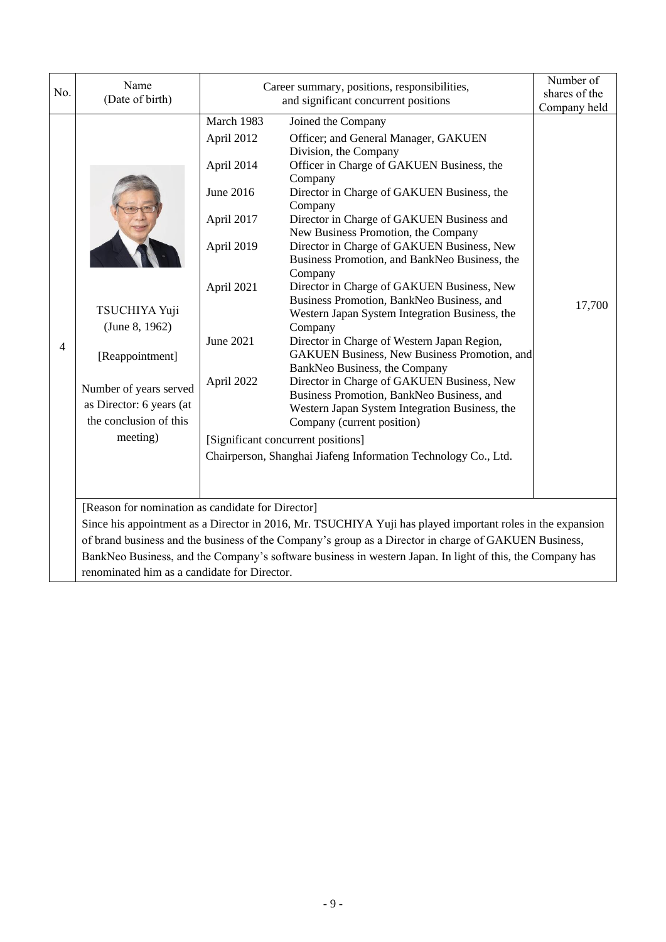| No. | Name<br>(Date of birth)                                                                                                                                         |                                                                                                                                                                | Career summary, positions, responsibilities,<br>and significant concurrent positions                                                                                                                                                                                                                                                                                                                                                                                                                                                                                                                                                                                                                                                                                                                                                                                                                                                           | Number of<br>shares of the<br>Company held |
|-----|-----------------------------------------------------------------------------------------------------------------------------------------------------------------|----------------------------------------------------------------------------------------------------------------------------------------------------------------|------------------------------------------------------------------------------------------------------------------------------------------------------------------------------------------------------------------------------------------------------------------------------------------------------------------------------------------------------------------------------------------------------------------------------------------------------------------------------------------------------------------------------------------------------------------------------------------------------------------------------------------------------------------------------------------------------------------------------------------------------------------------------------------------------------------------------------------------------------------------------------------------------------------------------------------------|--------------------------------------------|
| 4   | TSUCHIYA Yuji<br>(June 8, 1962)<br>[Reappointment]<br>Number of years served<br>as Director: 6 years (at<br>the conclusion of this<br>meeting)                  | March 1983<br>April 2012<br>April 2014<br>June 2016<br>April 2017<br>April 2019<br>April 2021<br>June 2021<br>April 2022<br>[Significant concurrent positions] | Joined the Company<br>Officer; and General Manager, GAKUEN<br>Division, the Company<br>Officer in Charge of GAKUEN Business, the<br>Company<br>Director in Charge of GAKUEN Business, the<br>Company<br>Director in Charge of GAKUEN Business and<br>New Business Promotion, the Company<br>Director in Charge of GAKUEN Business, New<br>Business Promotion, and BankNeo Business, the<br>Company<br>Director in Charge of GAKUEN Business, New<br>Business Promotion, BankNeo Business, and<br>Western Japan System Integration Business, the<br>Company<br>Director in Charge of Western Japan Region,<br><b>GAKUEN Business, New Business Promotion, and</b><br>BankNeo Business, the Company<br>Director in Charge of GAKUEN Business, New<br>Business Promotion, BankNeo Business, and<br>Western Japan System Integration Business, the<br>Company (current position)<br>Chairperson, Shanghai Jiafeng Information Technology Co., Ltd. | 17,700                                     |
|     | [Reason for nomination as candidate for Director]<br>Since his appointment as a Director in 2016, Mr. TSUCHIYA Yuji has played important roles in the expansion |                                                                                                                                                                |                                                                                                                                                                                                                                                                                                                                                                                                                                                                                                                                                                                                                                                                                                                                                                                                                                                                                                                                                |                                            |
|     |                                                                                                                                                                 |                                                                                                                                                                | of brand business and the business of the Company's group as a Director in charge of GAKUEN Business,<br>BankNeo Business, and the Company's software business in western Japan. In light of this, the Company has                                                                                                                                                                                                                                                                                                                                                                                                                                                                                                                                                                                                                                                                                                                             |                                            |
|     | renominated him as a candidate for Director.                                                                                                                    |                                                                                                                                                                |                                                                                                                                                                                                                                                                                                                                                                                                                                                                                                                                                                                                                                                                                                                                                                                                                                                                                                                                                |                                            |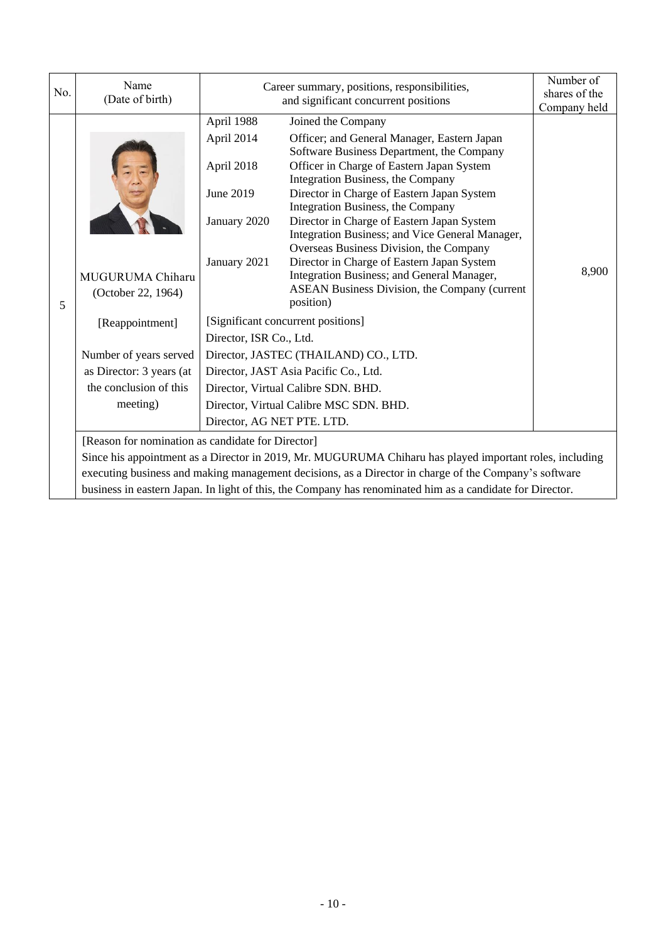| No.                                               | Name<br>(Date of birth)                |                                       | Career summary, positions, responsibilities,<br>and significant concurrent positions                                                                                          | Number of<br>shares of the<br>Company held |  |  |
|---------------------------------------------------|----------------------------------------|---------------------------------------|-------------------------------------------------------------------------------------------------------------------------------------------------------------------------------|--------------------------------------------|--|--|
|                                                   |                                        | April 1988                            | Joined the Company                                                                                                                                                            |                                            |  |  |
|                                                   |                                        | April 2014                            | Officer; and General Manager, Eastern Japan<br>Software Business Department, the Company                                                                                      |                                            |  |  |
|                                                   |                                        | April 2018                            | Officer in Charge of Eastern Japan System<br>Integration Business, the Company                                                                                                |                                            |  |  |
|                                                   |                                        | June 2019                             | Director in Charge of Eastern Japan System                                                                                                                                    |                                            |  |  |
|                                                   |                                        | January 2020                          | Integration Business, the Company<br>Director in Charge of Eastern Japan System<br>Integration Business; and Vice General Manager,<br>Overseas Business Division, the Company |                                            |  |  |
| 5                                                 | MUGURUMA Chiharu<br>(October 22, 1964) | January 2021                          | Director in Charge of Eastern Japan System<br>Integration Business; and General Manager,<br>ASEAN Business Division, the Company (current<br>position)                        | 8,900                                      |  |  |
|                                                   | [Reappointment]                        |                                       | [Significant concurrent positions]                                                                                                                                            |                                            |  |  |
|                                                   |                                        | Director, ISR Co., Ltd.               |                                                                                                                                                                               |                                            |  |  |
|                                                   | Number of years served                 | Director, JASTEC (THAILAND) CO., LTD. |                                                                                                                                                                               |                                            |  |  |
|                                                   | as Director: 3 years (at               | Director, JAST Asia Pacific Co., Ltd. |                                                                                                                                                                               |                                            |  |  |
|                                                   | the conclusion of this                 | Director, Virtual Calibre SDN. BHD.   |                                                                                                                                                                               |                                            |  |  |
|                                                   | meeting)                               |                                       | Director, Virtual Calibre MSC SDN. BHD.                                                                                                                                       |                                            |  |  |
|                                                   |                                        | Director, AG NET PTE. LTD.            |                                                                                                                                                                               |                                            |  |  |
| [Reason for nomination as candidate for Director] |                                        |                                       |                                                                                                                                                                               |                                            |  |  |
|                                                   |                                        |                                       | Since his appointment as a Director in 2019, Mr. MUGURUMA Chiharu has played important roles, including                                                                       |                                            |  |  |
|                                                   |                                        |                                       | executing business and making management decisions, as a Director in charge of the Company's software                                                                         |                                            |  |  |
|                                                   |                                        |                                       | business in eastern Japan. In light of this, the Company has renominated him as a candidate for Director.                                                                     |                                            |  |  |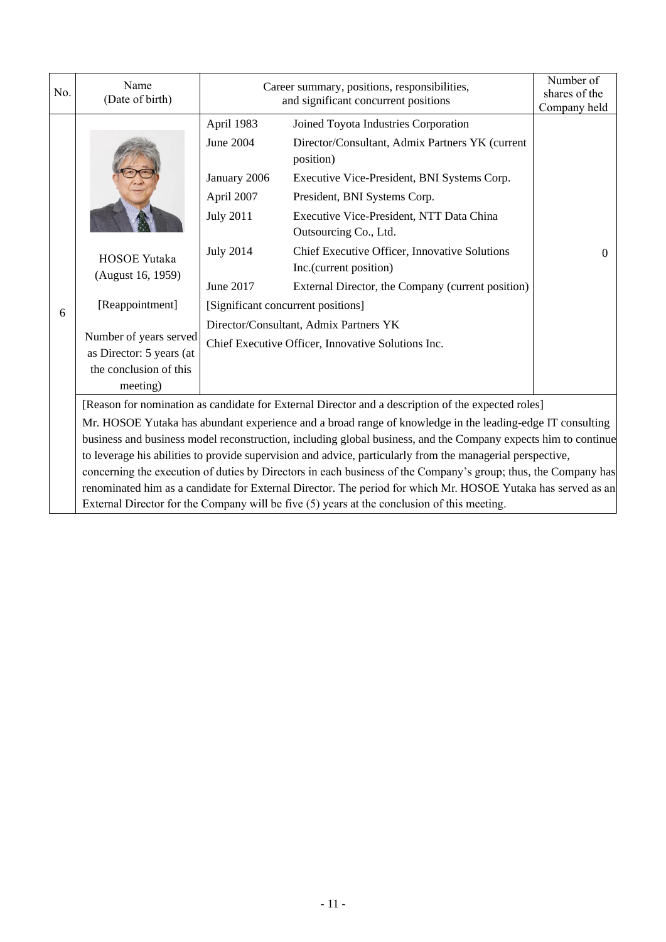| No. | Name<br>(Date of birth)                                                                                                                                                                                                                                                                                                                                                                                                                                                                                                                                                                                                                                                                                                                                                            |                                                                                                                                                | Career summary, positions, responsibilities,<br>and significant concurrent positions                                                                                                                                                                                                                                                |          |  |
|-----|------------------------------------------------------------------------------------------------------------------------------------------------------------------------------------------------------------------------------------------------------------------------------------------------------------------------------------------------------------------------------------------------------------------------------------------------------------------------------------------------------------------------------------------------------------------------------------------------------------------------------------------------------------------------------------------------------------------------------------------------------------------------------------|------------------------------------------------------------------------------------------------------------------------------------------------|-------------------------------------------------------------------------------------------------------------------------------------------------------------------------------------------------------------------------------------------------------------------------------------------------------------------------------------|----------|--|
|     | <b>HOSOE Yutaka</b><br>(August 16, 1959)                                                                                                                                                                                                                                                                                                                                                                                                                                                                                                                                                                                                                                                                                                                                           | April 1983<br>June 2004<br>January 2006<br>April 2007<br><b>July 2011</b><br><b>July 2014</b>                                                  | Joined Toyota Industries Corporation<br>Director/Consultant, Admix Partners YK (current<br>position)<br>Executive Vice-President, BNI Systems Corp.<br>President, BNI Systems Corp.<br>Executive Vice-President, NTT Data China<br>Outsourcing Co., Ltd.<br>Chief Executive Officer, Innovative Solutions<br>Inc.(current position) | $\theta$ |  |
| 6   | [Reappointment]<br>Number of years served                                                                                                                                                                                                                                                                                                                                                                                                                                                                                                                                                                                                                                                                                                                                          | June 2017<br>External Director, the Company (current position)<br>[Significant concurrent positions]<br>Director/Consultant, Admix Partners YK |                                                                                                                                                                                                                                                                                                                                     |          |  |
|     | as Director: 5 years (at<br>the conclusion of this<br>meeting)                                                                                                                                                                                                                                                                                                                                                                                                                                                                                                                                                                                                                                                                                                                     |                                                                                                                                                | Chief Executive Officer, Innovative Solutions Inc.                                                                                                                                                                                                                                                                                  |          |  |
|     | [Reason for nomination as candidate for External Director and a description of the expected roles]<br>Mr. HOSOE Yutaka has abundant experience and a broad range of knowledge in the leading-edge IT consulting<br>business and business model reconstruction, including global business, and the Company expects him to continue<br>to leverage his abilities to provide supervision and advice, particularly from the managerial perspective,<br>concerning the execution of duties by Directors in each business of the Company's group; thus, the Company has<br>renominated him as a candidate for External Director. The period for which Mr. HOSOE Yutaka has served as an<br>External Director for the Company will be five $(5)$ years at the conclusion of this meeting. |                                                                                                                                                |                                                                                                                                                                                                                                                                                                                                     |          |  |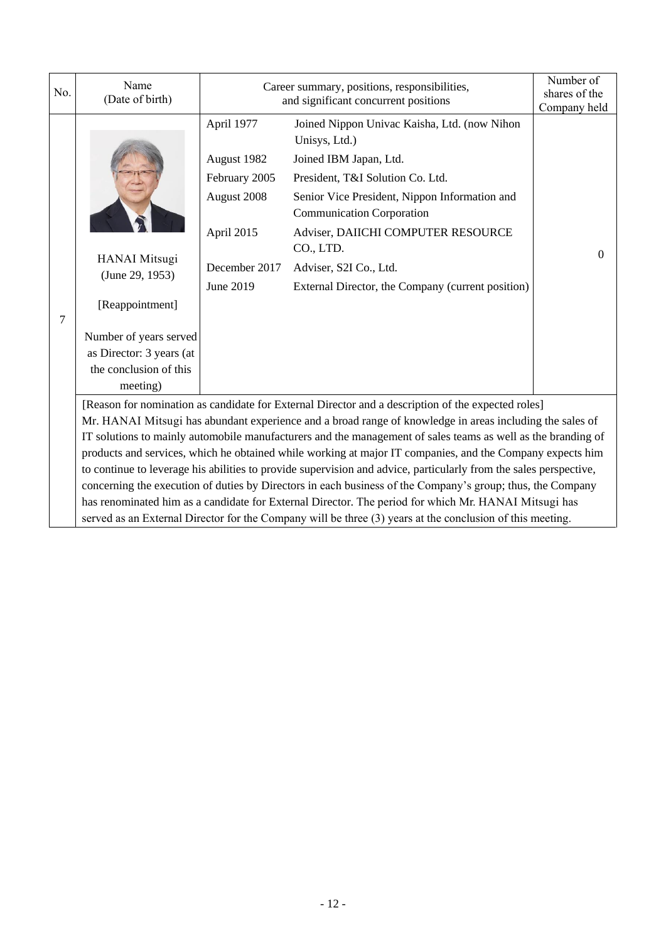| No. | Name<br>(Date of birth)                                                                                                                                |                                                                                                                                                                                                                                                                                                                                                                                                                                                                                                                                                                                                                                                                                | Career summary, positions, responsibilities,<br>and significant concurrent positions                                                                                                                                                                                                                                                               |                                |
|-----|--------------------------------------------------------------------------------------------------------------------------------------------------------|--------------------------------------------------------------------------------------------------------------------------------------------------------------------------------------------------------------------------------------------------------------------------------------------------------------------------------------------------------------------------------------------------------------------------------------------------------------------------------------------------------------------------------------------------------------------------------------------------------------------------------------------------------------------------------|----------------------------------------------------------------------------------------------------------------------------------------------------------------------------------------------------------------------------------------------------------------------------------------------------------------------------------------------------|--------------------------------|
| 7   | <b>HANAI</b> Mitsugi<br>(June 29, 1953)<br>[Reappointment]<br>Number of years served<br>as Director: 3 years (at<br>the conclusion of this<br>meeting) | April 1977<br>August 1982<br>February 2005<br>August 2008<br>April 2015<br>December 2017<br>June 2019                                                                                                                                                                                                                                                                                                                                                                                                                                                                                                                                                                          | Joined Nippon Univac Kaisha, Ltd. (now Nihon<br>Unisys, Ltd.)<br>Joined IBM Japan, Ltd.<br>President, T&I Solution Co. Ltd.<br>Senior Vice President, Nippon Information and<br><b>Communication Corporation</b><br>Adviser, DAIICHI COMPUTER RESOURCE<br>CO., LTD.<br>Adviser, S2I Co., Ltd.<br>External Director, the Company (current position) | Company held<br>$\overline{0}$ |
|     |                                                                                                                                                        | [Reason for nomination as candidate for External Director and a description of the expected roles]<br>Mr. HANAI Mitsugi has abundant experience and a broad range of knowledge in areas including the sales of<br>IT solutions to mainly automobile manufacturers and the management of sales teams as well as the branding of<br>products and services, which he obtained while working at major IT companies, and the Company expects him<br>to continue to leverage his abilities to provide supervision and advice, particularly from the sales perspective,<br>concerning the execution of duties by Directors in each business of the Company's group; thus, the Company |                                                                                                                                                                                                                                                                                                                                                    |                                |
|     |                                                                                                                                                        |                                                                                                                                                                                                                                                                                                                                                                                                                                                                                                                                                                                                                                                                                | has renominated him as a candidate for External Director. The period for which Mr. HANAI Mitsugi has<br>served as an External Director for the Company will be three (3) years at the conclusion of this meeting.                                                                                                                                  |                                |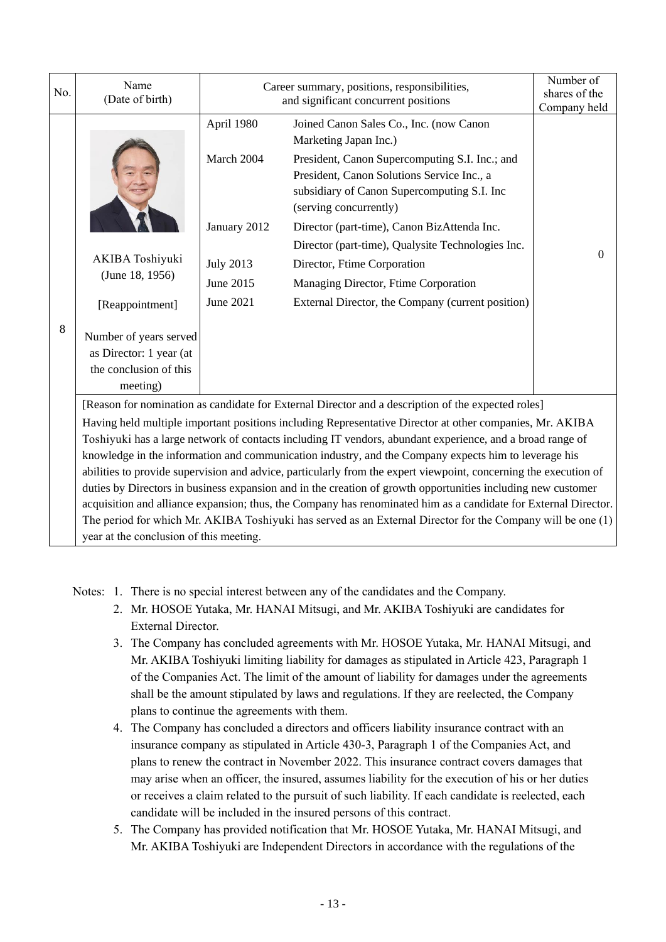| No. | Name<br>(Date of birth)                                                                                                                                 |                                                                                                                                                                                                                                                                                                                                                                                                                                                                                                                                                                                                                                                                                                                                                                                                                                                                                                           | Career summary, positions, responsibilities,<br>and significant concurrent positions                                                                                                                                                                                                                                                                                                                                                                                      |          |  |
|-----|---------------------------------------------------------------------------------------------------------------------------------------------------------|-----------------------------------------------------------------------------------------------------------------------------------------------------------------------------------------------------------------------------------------------------------------------------------------------------------------------------------------------------------------------------------------------------------------------------------------------------------------------------------------------------------------------------------------------------------------------------------------------------------------------------------------------------------------------------------------------------------------------------------------------------------------------------------------------------------------------------------------------------------------------------------------------------------|---------------------------------------------------------------------------------------------------------------------------------------------------------------------------------------------------------------------------------------------------------------------------------------------------------------------------------------------------------------------------------------------------------------------------------------------------------------------------|----------|--|
| 8   | <b>AKIBA</b> Toshiyuki<br>(June 18, 1956)<br>[Reappointment]<br>Number of years served<br>as Director: 1 year (at<br>the conclusion of this<br>meeting) | April 1980<br>March 2004<br>January 2012<br><b>July 2013</b><br>June 2015<br><b>June 2021</b>                                                                                                                                                                                                                                                                                                                                                                                                                                                                                                                                                                                                                                                                                                                                                                                                             | Joined Canon Sales Co., Inc. (now Canon<br>Marketing Japan Inc.)<br>President, Canon Supercomputing S.I. Inc.; and<br>President, Canon Solutions Service Inc., a<br>subsidiary of Canon Supercomputing S.I. Inc<br>(serving concurrently)<br>Director (part-time), Canon BizAttenda Inc.<br>Director (part-time), Qualysite Technologies Inc.<br>Director, Ftime Corporation<br>Managing Director, Ftime Corporation<br>External Director, the Company (current position) | $\Omega$ |  |
|     | year at the conclusion of this meeting.                                                                                                                 | [Reason for nomination as candidate for External Director and a description of the expected roles]<br>Having held multiple important positions including Representative Director at other companies, Mr. AKIBA<br>Toshiyuki has a large network of contacts including IT vendors, abundant experience, and a broad range of<br>knowledge in the information and communication industry, and the Company expects him to leverage his<br>abilities to provide supervision and advice, particularly from the expert viewpoint, concerning the execution of<br>duties by Directors in business expansion and in the creation of growth opportunities including new customer<br>acquisition and alliance expansion; thus, the Company has renominated him as a candidate for External Director.<br>The period for which Mr. AKIBA Toshiyuki has served as an External Director for the Company will be one (1) |                                                                                                                                                                                                                                                                                                                                                                                                                                                                           |          |  |

Notes: 1. There is no special interest between any of the candidates and the Company.

- 2. Mr. HOSOE Yutaka, Mr. HANAI Mitsugi, and Mr. AKIBA Toshiyuki are candidates for External Director.
- 3. The Company has concluded agreements with Mr. HOSOE Yutaka, Mr. HANAI Mitsugi, and Mr. AKIBA Toshiyuki limiting liability for damages as stipulated in Article 423, Paragraph 1 of the Companies Act. The limit of the amount of liability for damages under the agreements shall be the amount stipulated by laws and regulations. If they are reelected, the Company plans to continue the agreements with them.
- 4. The Company has concluded a directors and officers liability insurance contract with an insurance company as stipulated in Article 430-3, Paragraph 1 of the Companies Act, and plans to renew the contract in November 2022. This insurance contract covers damages that may arise when an officer, the insured, assumes liability for the execution of his or her duties or receives a claim related to the pursuit of such liability. If each candidate is reelected, each candidate will be included in the insured persons of this contract.
- 5. The Company has provided notification that Mr. HOSOE Yutaka, Mr. HANAI Mitsugi, and Mr. AKIBA Toshiyuki are Independent Directors in accordance with the regulations of the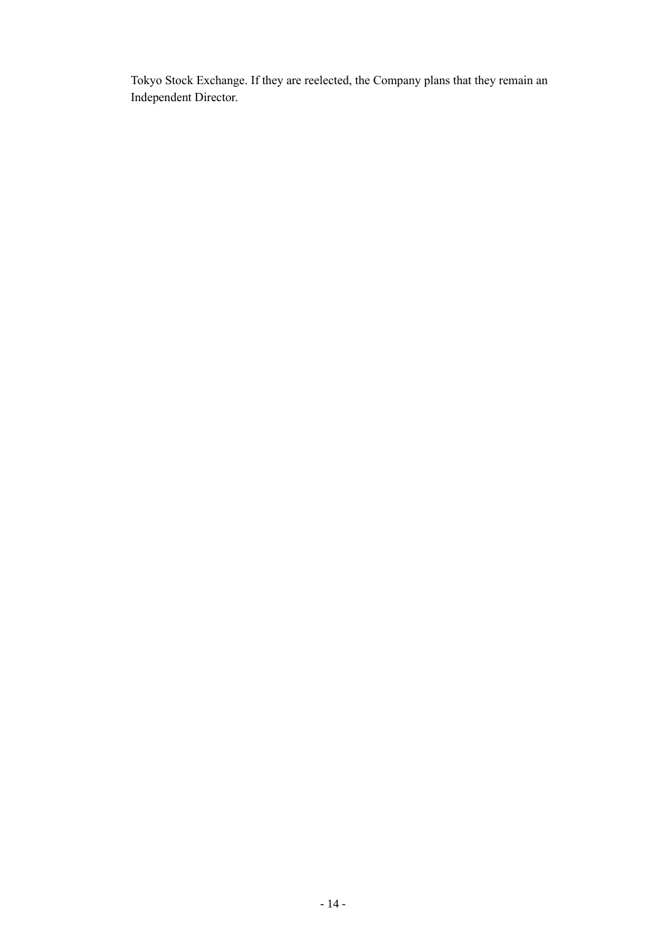Tokyo Stock Exchange. If they are reelected, the Company plans that they remain an Independent Director.